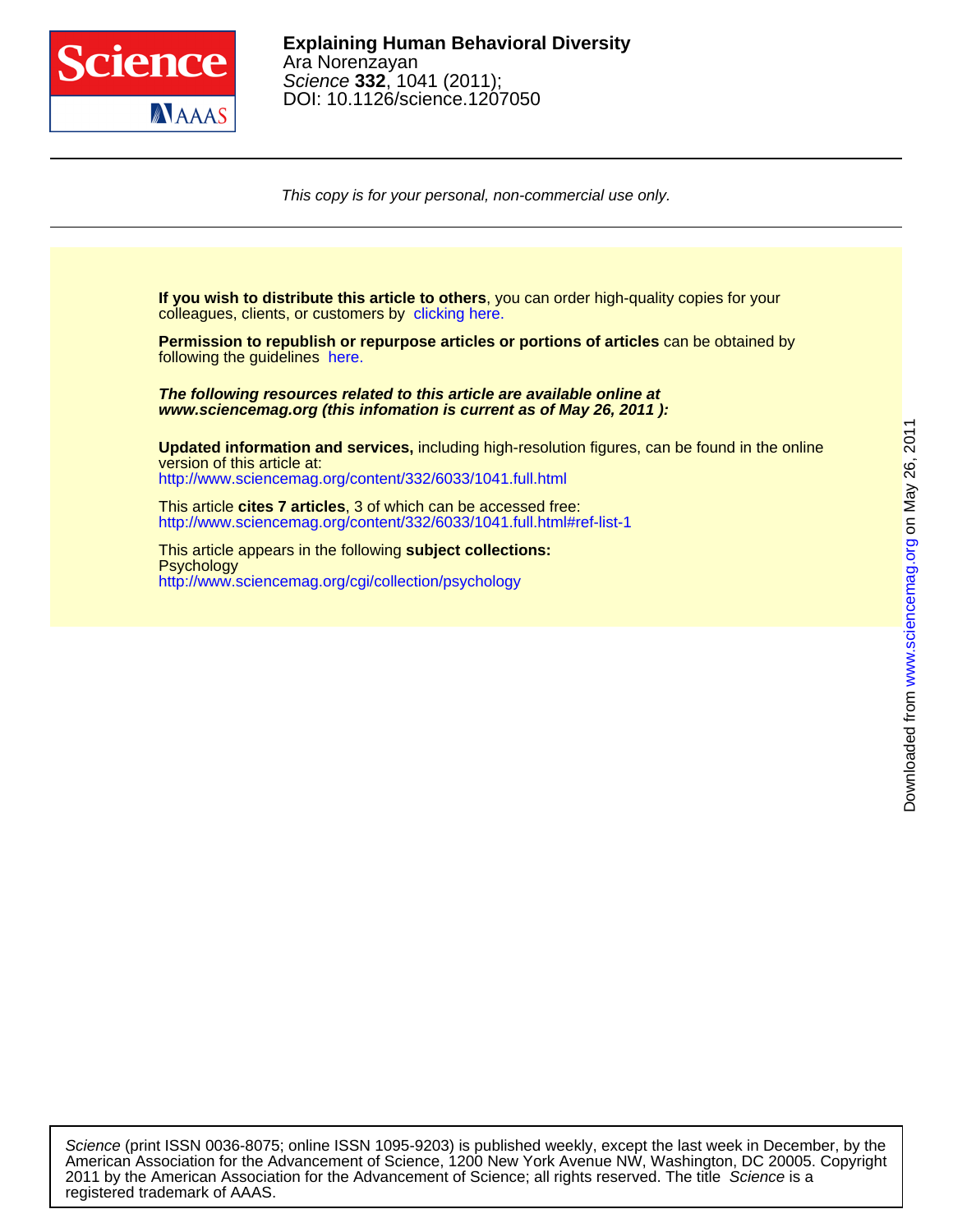

This copy is for your personal, non-commercial use only.

colleagues, clients, or customers by [clicking here.](http://www.sciencemag.org/about/permissions.dtl) **If you wish to distribute this article to others**, you can order high-quality copies for your

following the guidelines [here.](http://www.sciencemag.org/about/permissions.dtl) **Permission to republish or repurpose articles or portions of articles** can be obtained by

**www.sciencemag.org (this infomation is current as of May 26, 2011 ): The following resources related to this article are available online at**

<http://www.sciencemag.org/content/332/6033/1041.full.html> version of this article at: **Updated information and services,** including high-resolution figures, can be found in the online

<http://www.sciencemag.org/content/332/6033/1041.full.html#ref-list-1> This article **cites 7 articles**, 3 of which can be accessed free:

<http://www.sciencemag.org/cgi/collection/psychology> **Psychology** This article appears in the following **subject collections:**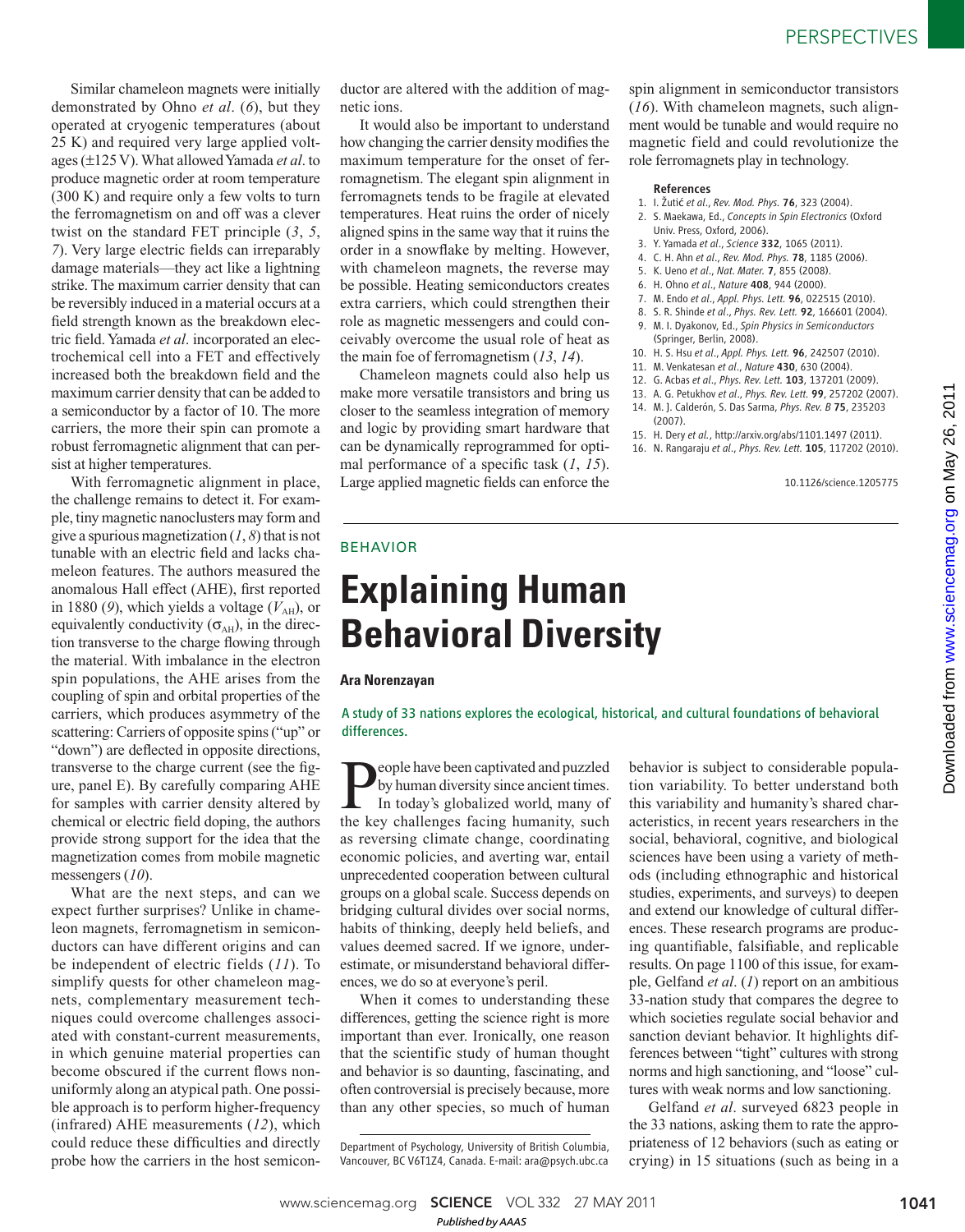Similar chameleon magnets were initially demonstrated by Ohno *et al.* (6), but they operated at cryogenic temperatures (about 25 K) and required very large applied voltages (±125 V). What allowed Yamada *et al*. to produce magnetic order at room temperature (300 K) and require only a few volts to turn the ferromagnetism on and off was a clever twist on the standard FET principle  $(3, 5, 5)$ *7*). Very large electric fields can irreparably damage materials—they act like a lightning strike. The maximum carrier density that can be reversibly induced in a material occurs at a field strength known as the breakdown electric field. Yamada et al. incorporated an electrochemical cell into a FET and effectively increased both the breakdown field and the maximum carrier density that can be added to a semiconductor by a factor of 10. The more carriers, the more their spin can promote a robust ferromagnetic alignment that can persist at higher temperatures.

With ferromagnetic alignment in place, the challenge remains to detect it. For example, tiny magnetic nanoclusters may form and give a spurious magnetization  $(1, 8)$  that is not tunable with an electric field and lacks chameleon features. The authors measured the anomalous Hall effect (AHE), first reported in 1880 (9), which yields a voltage  $(V_{\text{AH}})$ , or equivalently conductivity  $(\sigma_{AH})$ , in the direction transverse to the charge flowing through the material. With imbalance in the electron spin populations, the AHE arises from the coupling of spin and orbital properties of the carriers, which produces asymmetry of the scattering: Carriers of opposite spins ("up" or "down") are deflected in opposite directions, transverse to the charge current (see the figure, panel E). By carefully comparing AHE for samples with carrier density altered by chemical or electric field doping, the authors provide strong support for the idea that the magnetization comes from mobile magnetic messengers (10).

What are the next steps, and can we expect further surprises? Unlike in chameleon magnets, ferromagnetism in semiconductors can have different origins and can be independent of electric fields ( *11*). To simplify quests for other chameleon magnets, complementary measurement techniques could overcome challenges associated with constant-current measurements, in which genuine material properties can become obscured if the current flows nonuniformly along an atypical path. One possible approach is to perform higher-frequency (infrared) AHE measurements ( *12*), which could reduce these difficulties and directly probe how the carriers in the host semicon-

ductor are altered with the addition of magnetic ions.

It would also be important to understand how changing the carrier density modifies the maximum temperature for the onset of ferromagnetism. The elegant spin alignment in ferromagnets tends to be fragile at elevated temperatures. Heat ruins the order of nicely aligned spins in the same way that it ruins the order in a snowflake by melting. However, with chameleon magnets, the reverse may be possible. Heating semiconductors creates extra carriers, which could strengthen their role as magnetic messengers and could conceivably overcome the usual role of heat as the main foe of ferromagnetism ( *13*, *14*).

Chameleon magnets could also help us make more versatile transistors and bring us closer to the seamless integration of memory and logic by providing smart hardware that can be dynamically reprogrammed for optimal performance of a specific task  $(1, 15)$ . Large applied magnetic fields can enforce the spin alignment in semiconductor transistors (*16*). With chameleon magnets, such alignment would be tunable and would require no magnetic field and could revolutionize the role ferromagnets play in technology.

#### References

- 1. I. Žutić *et al*., *Rev. Mod. Phys.* 76, 323 (2004).
- 2. S. Maekawa, Ed., *Concepts in Spin Electronics* (Oxford Univ. Press, Oxford, 2006).
- 3. Y. Yamada *et al*., *Science* 332, 1065 (2011).
- 4. C. H. Ahn *et al*., *Rev. Mod. Phys.* 78, 1185 (2006).
- 5. K. Ueno *et al*., *Nat. Mater.* 7, 855 (2008).
- 6. H. Ohno *et al*., *Nature* 408, 944 (2000).
- 7. M. Endo *et al*., *Appl. Phys. Lett.* 96, 022515 (2010).
- 8. S. R. Shinde *et al*., *Phys. Rev. Lett.* 92, 166601 (2004).
- 9. M. I. Dyakonov, Ed., *Spin Physics in Semiconductors* (Springer, Berlin, 2008).
- 10. H. S. Hsu *et al*., *Appl. Phys. Lett.* 96, 242507 (2010).
- 11. M. Venkatesan *et al*., *Nature* 430, 630 (2004).
- 12. G. Acbas *et al*., *Phys. Rev. Lett.* 103, 137201 (2009).
- 13. A. G. Petukhov *et al*., *Phys. Rev. Lett.* 99, 257202 (2007).
- 14. M. J. Calderón, S. Das Sarma, *Phys. Rev. B* 75, 235203 (2007).
- 15. H. Dery *et al.*, http://arxiv.org/abs/1101.1497 (2011).
- 16. N. Rangaraju *et al*., *Phys. Rev. Lett.* 105, 117202 (2010).

10.1126/science.1205775

### BEHAVIOR

# **Explaining Human Behavioral Diversity**

#### **Ara Norenzayan**

A study of 33 nations explores the ecological, historical, and cultural foundations of behavioral differences.

People have been captivated and puzzled<br>by human diversity since ancient times.<br>In today's globalized world, many of<br>the key challenges facing humanity such by human diversity since ancient times. In today's globalized world, many of the key challenges facing humanity, such as reversing climate change, coordinating economic policies, and averting war, entail unprecedented cooperation between cultural groups on a global scale. Success depends on bridging cultural divides over social norms, habits of thinking, deeply held beliefs, and values deemed sacred. If we ignore, underestimate, or misunderstand behavioral differences, we do so at everyone's peril.

When it comes to understanding these differences, getting the science right is more important than ever. Ironically, one reason that the scientific study of human thought and behavior is so daunting, fascinating, and often controversial is precisely because, more than any other species, so much of human behavior is subject to considerable population variability. To better understand both this variability and humanity's shared characteristics, in recent years researchers in the social, behavioral, cognitive, and biological sciences have been using a variety of methods (including ethnographic and historical studies, experiments, and surveys) to deepen and extend our knowledge of cultural differences. These research programs are producing quantifiable, falsifiable, and replicable results. On page 1100 of this issue, for example, Gelfand *et al*. ( *1*) report on an ambitious 33-nation study that compares the degree to which societies regulate social behavior and sanction deviant behavior. It highlights differences between "tight" cultures with strong norms and high sanctioning, and "loose" cultures with weak norms and low sanctioning.

Gelfand *et al*. surveyed 6823 people in the 33 nations, asking them to rate the appropriateness of 12 behaviors (such as eating or crying) in 15 situations (such as being in a

Department of Psychology, University of British Columbia, Vancouver, BC V6T1Z4, Canada. E-mail: ara@psych.ubc.ca